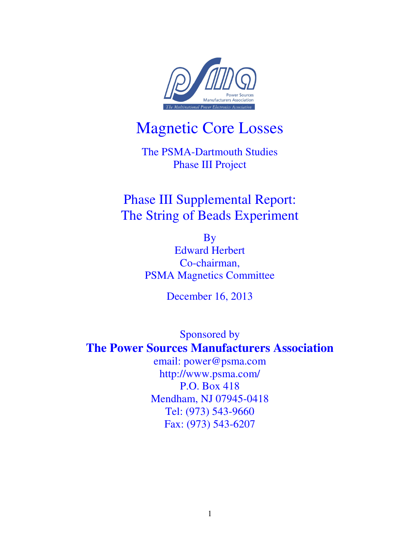

# Magnetic Core Losses

The PSMA-Dartmouth Studies Phase III Project

## Phase III Supplemental Report: The String of Beads Experiment

By Edward Herbert Co-chairman, PSMA Magnetics Committee

December 16, 2013

Sponsored by **The Power Sources Manufacturers Association** 

> email: power@psma.com http://www.psma.com/ P.O. Box 418 Mendham, NJ 07945-0418 Tel: (973) 543-9660 Fax: (973) 543-6207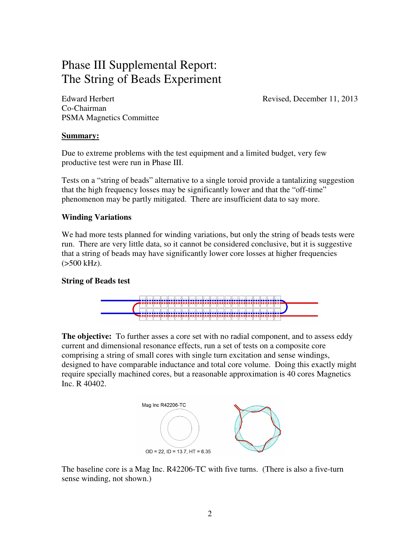### Phase III Supplemental Report: The String of Beads Experiment

Edward Herbert Revised, December 11, 2013 Co-Chairman PSMA Magnetics Committee

#### **Summary:**

Due to extreme problems with the test equipment and a limited budget, very few productive test were run in Phase III.

Tests on a "string of beads" alternative to a single toroid provide a tantalizing suggestion that the high frequency losses may be significantly lower and that the "off-time" phenomenon may be partly mitigated. There are insufficient data to say more.

#### **Winding Variations**

We had more tests planned for winding variations, but only the string of beads tests were run. There are very little data, so it cannot be considered conclusive, but it is suggestive that a string of beads may have significantly lower core losses at higher frequencies  $(>500$  kHz).

#### **String of Beads test**



**The objective:** To further asses a core set with no radial component, and to assess eddy current and dimensional resonance effects, run a set of tests on a composite core comprising a string of small cores with single turn excitation and sense windings, designed to have comparable inductance and total core volume. Doing this exactly might require specially machined cores, but a reasonable approximation is 40 cores Magnetics Inc. R 40402.



The baseline core is a Mag Inc. R42206-TC with five turns. (There is also a five-turn sense winding, not shown.)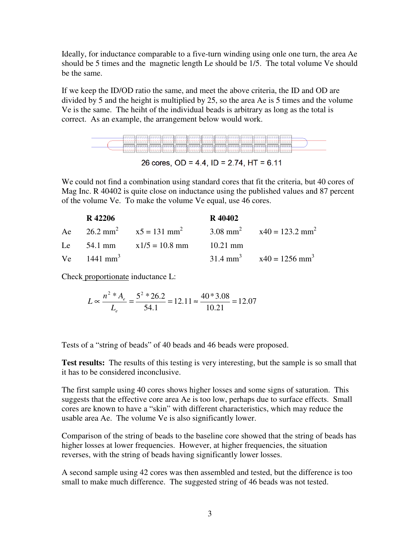Ideally, for inductance comparable to a five-turn winding using onle one turn, the area Ae should be 5 times and the magnetic length Le should be 1/5. The total volume Ve should be the same.

If we keep the ID/OD ratio the same, and meet the above criteria, the ID and OD are divided by 5 and the height is multiplied by 25, so the area Ae is 5 times and the volume Ve is the same. The heiht of the individual beads is arbitrary as long as the total is correct. As an example, the arrangement below would work.



26 cores, OD = 4.4, ID = 2.74, HT =  $6.11$ 

We could not find a combination using standard cores that fit the criteria, but 40 cores of Mag Inc. R 40402 is quite close on inductance using the published values and 87 percent of the volume Ve. To make the volume Ve equal, use 46 cores.

| R 42206                |                                                                                               | R 40402 |                                                   |
|------------------------|-----------------------------------------------------------------------------------------------|---------|---------------------------------------------------|
|                        | Ae $26.2 \text{ mm}^2$ $x5 = 131 \text{ mm}^2$ $3.08 \text{ mm}^2$ $x40 = 123.2 \text{ mm}^2$ |         |                                                   |
|                        | Le 54.1 mm $x1/5 = 10.8$ mm $10.21$ mm                                                        |         |                                                   |
| Ve $1441 \text{ mm}^3$ |                                                                                               |         | 31.4 mm <sup>3</sup> $x40 = 1256$ mm <sup>3</sup> |

Check proportionate inductance L:

$$
L \propto \frac{n^2 * A_e}{L_e} = \frac{5^2 * 26.2}{54.1} = 12.11 \approx \frac{40 * 3.08}{10.21} = 12.07
$$

Tests of a "string of beads" of 40 beads and 46 beads were proposed.

**Test results:** The results of this testing is very interesting, but the sample is so small that it has to be considered inconclusive.

The first sample using 40 cores shows higher losses and some signs of saturation. This suggests that the effective core area Ae is too low, perhaps due to surface effects. Small cores are known to have a "skin" with different characteristics, which may reduce the usable area Ae. The volume Ve is also significantly lower.

Comparison of the string of beads to the baseline core showed that the string of beads has higher losses at lower frequencies. However, at higher frequencies, the situation reverses, with the string of beads having significantly lower losses.

A second sample using 42 cores was then assembled and tested, but the difference is too small to make much difference. The suggested string of 46 beads was not tested.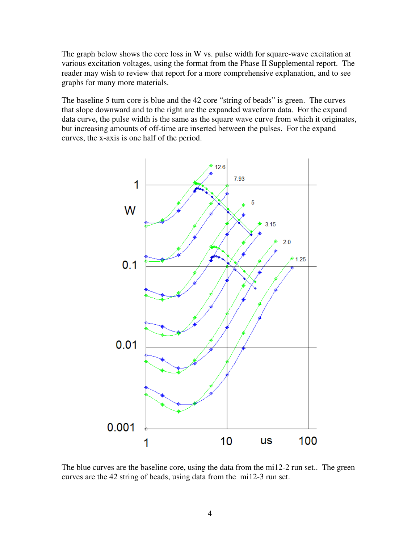The graph below shows the core loss in W vs. pulse width for square-wave excitation at various excitation voltages, using the format from the Phase II Supplemental report. The reader may wish to review that report for a more comprehensive explanation, and to see graphs for many more materials.

The baseline 5 turn core is blue and the 42 core "string of beads" is green. The curves that slope downward and to the right are the expanded waveform data. For the expand data curve, the pulse width is the same as the square wave curve from which it originates, but increasing amounts of off-time are inserted between the pulses. For the expand curves, the x-axis is one half of the period.



The blue curves are the baseline core, using the data from the mi12-2 run set.. The green curves are the 42 string of beads, using data from the mi12-3 run set.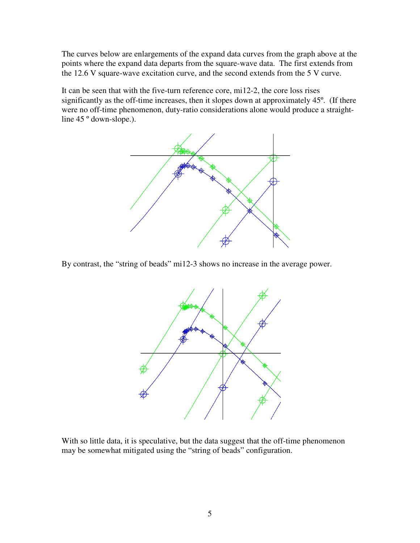The curves below are enlargements of the expand data curves from the graph above at the points where the expand data departs from the square-wave data. The first extends from the 12.6 V square-wave excitation curve, and the second extends from the 5 V curve.

It can be seen that with the five-turn reference core, mi12-2, the core loss rises significantly as the off-time increases, then it slopes down at approximately 45º. (If there were no off-time phenomenon, duty-ratio considerations alone would produce a straightline 45<sup>°</sup> down-slope.).



By contrast, the "string of beads" mi12-3 shows no increase in the average power.



With so little data, it is speculative, but the data suggest that the off-time phenomenon may be somewhat mitigated using the "string of beads" configuration.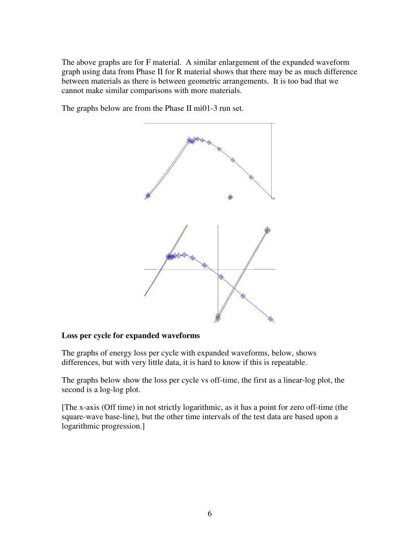The above graphs are for F material. A similar enlargement of the expanded waveform graph using data from Phase II for R material shows that there may be as much difference between materials as there is between geometric arrangements. It is too bad that we cannot make similar comparisons with more materials.

The graphs below are from the Phase II mi01-3 run set.



#### **Loss per cycle for expanded waveforms**

The graphs of energy loss per cycle with expanded waveforms, below, shows differences, but with very little data, it is hard to know if this is repeatable.

The graphs below show the loss per cycle vs off-time, the first as a linear-log plot, the second is a log-log plot.

[The x-axis (Off time) in not strictly logarithmic, as it has a point for zero off-time (the square-wave base-line), but the other time intervals of the test data are based upon a logarithmic progression.]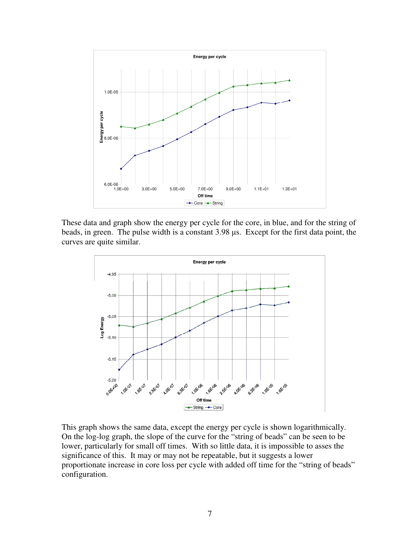

These data and graph show the energy per cycle for the core, in blue, and for the string of beads, in green. The pulse width is a constant 3.98 µs. Except for the first data point, the curves are quite similar.



This graph shows the same data, except the energy per cycle is shown logarithmically. On the log-log graph, the slope of the curve for the "string of beads" can be seen to be lower, particularly for small off times. With so little data, it is impossible to asses the significance of this. It may or may not be repeatable, but it suggests a lower proportionate increase in core loss per cycle with added off time for the "string of beads" configuration.